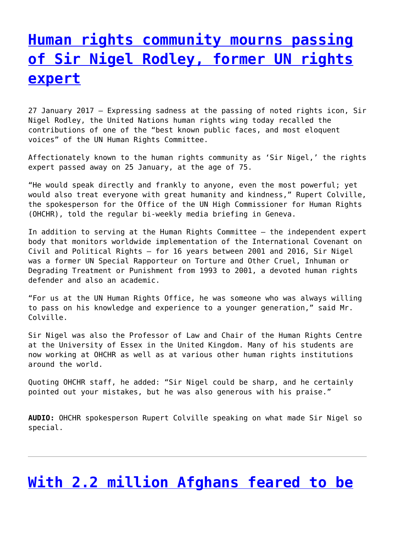## **[Human rights community mourns passing](http://www.government-world.com/human-rights-community-mourns-passing-of-sir-nigel-rodley-former-un-rights-expert/) [of Sir Nigel Rodley, former UN rights](http://www.government-world.com/human-rights-community-mourns-passing-of-sir-nigel-rodley-former-un-rights-expert/) [expert](http://www.government-world.com/human-rights-community-mourns-passing-of-sir-nigel-rodley-former-un-rights-expert/)**

27 January 2017 – Expressing sadness at the passing of noted rights icon, Sir Nigel Rodley, the United Nations human rights wing today recalled the contributions of one of the "best known public faces, and most eloquent voices" of the UN Human Rights Committee.

Affectionately known to the human rights community as 'Sir Nigel,' the rights expert passed away on 25 January, at the age of 75.

"He would speak directly and frankly to anyone, even the most powerful; yet would also treat everyone with great humanity and kindness," Rupert Colville, the spokesperson for the Office of the UN High Commissioner for Human Rights (OHCHR), told the regular bi-weekly media briefing in Geneva.

In addition to serving at the Human Rights Committee – the independent expert body that monitors worldwide implementation of the International Covenant on Civil and Political Rights – for 16 years between 2001 and 2016, Sir Nigel was a former UN Special Rapporteur on Torture and Other Cruel, Inhuman or Degrading Treatment or Punishment from 1993 to 2001, a devoted human rights defender and also an academic.

"For us at the UN Human Rights Office, he was someone who was always willing to pass on his knowledge and experience to a younger generation," said Mr. Colville.

Sir Nigel was also the Professor of Law and Chair of the Human Rights Centre at the University of Essex in the United Kingdom. Many of his students are now working at OHCHR as well as at various other human rights institutions around the world.

Quoting OHCHR staff, he added: "Sir Nigel could be sharp, and he certainly pointed out your mistakes, but he was also generous with his praise."

**AUDIO:** OHCHR spokesperson Rupert Colville speaking on what made Sir Nigel so special.

### **[With 2.2 million Afghans feared to be](http://www.government-world.com/with-2-2-million-afghans-feared-to-be-on-the-move-un-agency-to-begin-tracking-displacements-aid-relief/)**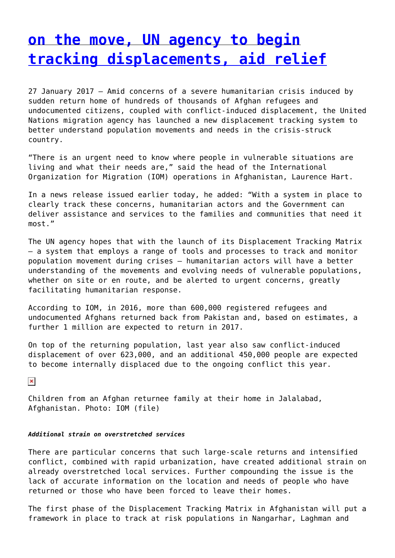### **[on the move, UN agency to begin](http://www.government-world.com/with-2-2-million-afghans-feared-to-be-on-the-move-un-agency-to-begin-tracking-displacements-aid-relief/) [tracking displacements, aid relief](http://www.government-world.com/with-2-2-million-afghans-feared-to-be-on-the-move-un-agency-to-begin-tracking-displacements-aid-relief/)**

27 January 2017 – Amid concerns of a severe humanitarian crisis induced by sudden return home of hundreds of thousands of Afghan refugees and undocumented citizens, coupled with conflict-induced displacement, the United Nations migration agency has launched a new displacement tracking system to better understand population movements and needs in the crisis-struck country.

"There is an urgent need to know where people in vulnerable situations are living and what their needs are," said the head of the International Organization for Migration (IOM) operations in Afghanistan, Laurence Hart.

In a news release issued earlier today, he added: "With a system in place to clearly track these concerns, humanitarian actors and the Government can deliver assistance and services to the families and communities that need it most."

The UN agency hopes that with the launch of its Displacement Tracking Matrix – a system that employs a range of tools and processes to track and monitor population movement during crises – humanitarian actors will have a better understanding of the movements and evolving needs of vulnerable populations, whether on site or en route, and be alerted to urgent concerns, greatly facilitating humanitarian response.

According to IOM, in 2016, more than 600,000 registered refugees and undocumented Afghans returned back from Pakistan and, based on estimates, a further 1 million are expected to return in 2017.

On top of the returning population, last year also saw conflict-induced displacement of over 623,000, and an additional 450,000 people are expected to become internally displaced due to the ongoing conflict this year.

 $\pmb{\times}$ 

Children from an Afghan returnee family at their home in Jalalabad, Afghanistan. Photo: IOM (file)

#### *Additional strain on overstretched services*

There are particular concerns that such large-scale returns and intensified conflict, combined with rapid urbanization, have created additional strain on already overstretched local services. Further compounding the issue is the lack of accurate information on the location and needs of people who have returned or those who have been forced to leave their homes.

The first phase of the Displacement Tracking Matrix in Afghanistan will put a framework in place to track at risk populations in Nangarhar, Laghman and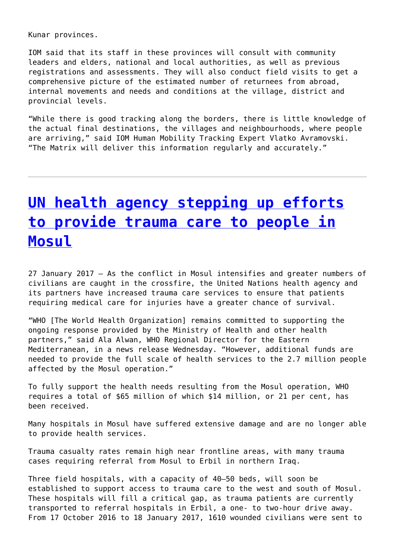Kunar provinces.

IOM said that its staff in these provinces will consult with community leaders and elders, national and local authorities, as well as previous registrations and assessments. They will also conduct field visits to get a comprehensive picture of the estimated number of returnees from abroad, internal movements and needs and conditions at the village, district and provincial levels.

"While there is good tracking along the borders, there is little knowledge of the actual final destinations, the villages and neighbourhoods, where people are arriving," said IOM Human Mobility Tracking Expert Vlatko Avramovski. "The Matrix will deliver this information regularly and accurately."

## **[UN health agency stepping up efforts](http://www.government-world.com/un-health-agency-stepping-up-efforts-to-provide-trauma-care-to-people-in-mosul/) [to provide trauma care to people in](http://www.government-world.com/un-health-agency-stepping-up-efforts-to-provide-trauma-care-to-people-in-mosul/) [Mosul](http://www.government-world.com/un-health-agency-stepping-up-efforts-to-provide-trauma-care-to-people-in-mosul/)**

27 January 2017 – As the conflict in Mosul intensifies and greater numbers of civilians are caught in the crossfire, the United Nations health agency and its partners have increased trauma care services to ensure that patients requiring medical care for injuries have a greater chance of survival.

"WHO [The World Health Organization] remains committed to supporting the ongoing response provided by the Ministry of Health and other health partners," said Ala Alwan, WHO Regional Director for the Eastern Mediterranean, in a news release Wednesday. "However, additional funds are needed to provide the full scale of health services to the 2.7 million people affected by the Mosul operation."

To fully support the health needs resulting from the Mosul operation, WHO requires a total of \$65 million of which \$14 million, or 21 per cent, has been received.

Many hospitals in Mosul have suffered extensive damage and are no longer able to provide health services.

Trauma casualty rates remain high near frontline areas, with many trauma cases requiring referral from Mosul to Erbil in northern Iraq.

Three field hospitals, with a capacity of 40–50 beds, will soon be established to support access to trauma care to the west and south of Mosul. These hospitals will fill a critical gap, as trauma patients are currently transported to referral hospitals in Erbil, a one- to two-hour drive away. From 17 October 2016 to 18 January 2017, 1610 wounded civilians were sent to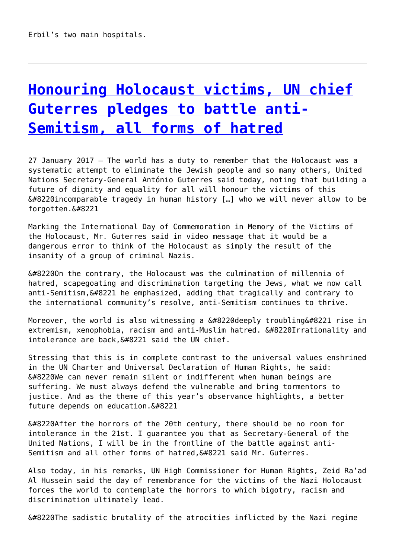# **[Honouring Holocaust victims, UN chief](http://www.government-world.com/honouring-holocaust-victims-un-chief-guterres-pledges-to-battle-anti-semitism-all-forms-of-hatred/) [Guterres pledges to battle anti-](http://www.government-world.com/honouring-holocaust-victims-un-chief-guterres-pledges-to-battle-anti-semitism-all-forms-of-hatred/)[Semitism, all forms of hatred](http://www.government-world.com/honouring-holocaust-victims-un-chief-guterres-pledges-to-battle-anti-semitism-all-forms-of-hatred/)**

27 January 2017 – The world has a duty to remember that the Holocaust was a systematic attempt to eliminate the Jewish people and so many others, United Nations Secretary-General António Guterres said today, noting that building a future of dignity and equality for all will honour the victims of this  $“$ incomparable tragedy in human history [...] who we will never allow to be forgotten. &#8221

Marking the International Day of Commemoration in Memory of the Victims of the Holocaust, Mr. Guterres said in video message that it would be a dangerous error to think of the Holocaust as simply the result of the insanity of a group of criminal Nazis.

 $𔄘n$  the contrary, the Holocaust was the culmination of millennia of hatred, scapegoating and discrimination targeting the Jews, what we now call anti-Semitism, &#8221 he emphasized, adding that tragically and contrary to the international community's resolve, anti-Semitism continues to thrive.

Moreover, the world is also witnessing a  $“$ deeply troubling $”$  rise in extremism, xenophobia, racism and anti-Muslim hatred. &#8220Irrationality and  $intolerance$  are back, $\”$  said the UN chief.

Stressing that this is in complete contrast to the universal values enshrined in the UN Charter and Universal Declaration of Human Rights, he said:  $\&\#8220$ We can never remain silent or indifferent when human beings are suffering. We must always defend the vulnerable and bring tormentors to justice. And as the theme of this year's observance highlights, a better future depends on education. $”$ 

 $“$ After the horrors of the 20th century, there should be no room for intolerance in the 21st. I guarantee you that as Secretary-General of the United Nations, I will be in the frontline of the battle against anti-Semitism and all other forms of hatred, &#8221 said Mr. Guterres.

Also today, in his remarks, UN High Commissioner for Human Rights, Zeid Ra'ad Al Hussein said the day of remembrance for the victims of the Nazi Holocaust forces the world to contemplate the horrors to which bigotry, racism and discrimination ultimately lead.

 $“$ The sadistic brutality of the atrocities inflicted by the Nazi regime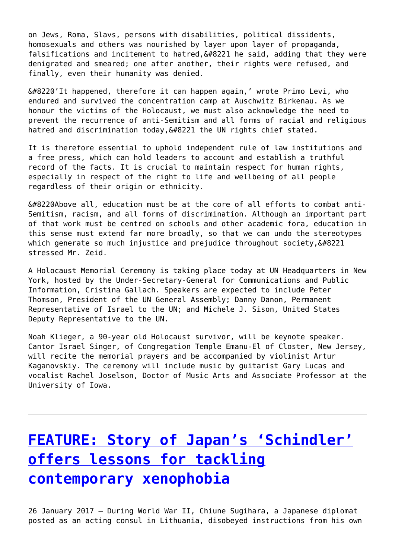on Jews, Roma, Slavs, persons with disabilities, political dissidents, homosexuals and others was nourished by layer upon layer of propaganda, falsifications and incitement to hatred,  $\&\#8221$  he said, adding that they were denigrated and smeared; one after another, their rights were refused, and finally, even their humanity was denied.

 $\&\#8220'$ It happened, therefore it can happen again,' wrote Primo Levi, who endured and survived the concentration camp at Auschwitz Birkenau. As we honour the victims of the Holocaust, we must also acknowledge the need to prevent the recurrence of anti-Semitism and all forms of racial and religious hatred and discrimination today, 6#8221 the UN rights chief stated.

It is therefore essential to uphold independent rule of law institutions and a free press, which can hold leaders to account and establish a truthful record of the facts. It is crucial to maintain respect for human rights, especially in respect of the right to life and wellbeing of all people regardless of their origin or ethnicity.

 $“$ Above all, education must be at the core of all efforts to combat anti-Semitism, racism, and all forms of discrimination. Although an important part of that work must be centred on schools and other academic fora, education in this sense must extend far more broadly, so that we can undo the stereotypes which generate so much injustice and prejudice throughout society, $”$ stressed Mr. Zeid.

A Holocaust Memorial Ceremony is taking place today at UN Headquarters in New York, hosted by the Under-Secretary-General for Communications and Public Information, Cristina Gallach. Speakers are expected to include Peter Thomson, President of the UN General Assembly; Danny Danon, Permanent Representative of Israel to the UN; and Michele J. Sison, United States Deputy Representative to the UN.

Noah Klieger, a 90-year old Holocaust survivor, will be keynote speaker. Cantor Israel Singer, of Congregation Temple Emanu-El of Closter, New Jersey, will recite the memorial prayers and be accompanied by violinist Artur Kaganovskiy. The ceremony will include music by guitarist Gary Lucas and vocalist Rachel Joselson, Doctor of Music Arts and Associate Professor at the University of Iowa.

# **[FEATURE: Story of Japan's 'Schindler'](http://www.government-world.com/feature-story-of-japans-schindler-offers-lessons-for-tackling-contemporary-xenophobia/) [offers lessons for tackling](http://www.government-world.com/feature-story-of-japans-schindler-offers-lessons-for-tackling-contemporary-xenophobia/) [contemporary xenophobia](http://www.government-world.com/feature-story-of-japans-schindler-offers-lessons-for-tackling-contemporary-xenophobia/)**

26 January 2017 – During World War II, Chiune Sugihara, a Japanese diplomat posted as an acting consul in Lithuania, disobeyed instructions from his own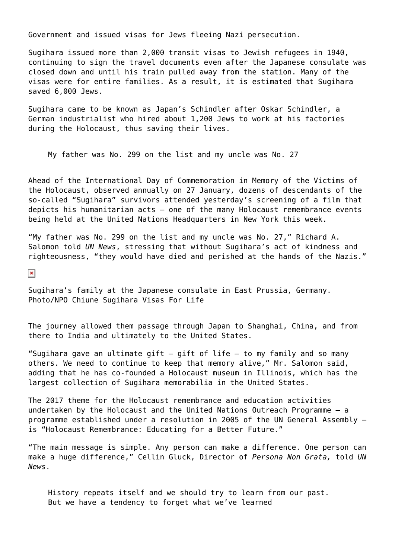Government and issued visas for Jews fleeing Nazi persecution.

Sugihara issued more than 2,000 transit visas to Jewish refugees in 1940, continuing to sign the travel documents even after the Japanese consulate was closed down and until his train pulled away from the station. Many of the visas were for entire families. As a result, it is estimated that Sugihara saved 6,000 Jews.

Sugihara came to be known as Japan's Schindler after Oskar Schindler, a German industrialist who hired about 1,200 Jews to work at his factories during the Holocaust, thus saving their lives.

My father was No. 299 on the list and my uncle was No. 27

Ahead of the International Day of Commemoration in Memory of the Victims of the Holocaust, observed annually on 27 January, dozens of descendants of the so-called "Sugihara" survivors attended yesterday's screening of a film that depicts his humanitarian acts – one of the many Holocaust remembrance events being held at the United Nations Headquarters in New York this week.

"My father was No. 299 on the list and my uncle was No. 27," Richard A. Salomon told *UN News*, stressing that without Sugihara's act of kindness and righteousness, "they would have died and perished at the hands of the Nazis."

 $\pmb{\times}$ 

Sugihara's family at the Japanese consulate in East Prussia, Germany. Photo/NPO Chiune Sugihara Visas For Life

The journey allowed them passage through Japan to Shanghai, China, and from there to India and ultimately to the United States.

"Sugihara gave an ultimate gift  $-$  gift of life  $-$  to my family and so many others. We need to continue to keep that memory alive," Mr. Salomon said, adding that he has co-founded a Holocaust museum in Illinois, which has the largest collection of Sugihara memorabilia in the United States.

The 2017 theme for the Holocaust remembrance and education activities undertaken by the Holocaust and the United Nations Outreach Programme – a programme established under a resolution in 2005 of the UN General Assembly – is "Holocaust Remembrance: Educating for a Better Future."

"The main message is simple. Any person can make a difference. One person can make a huge difference," Cellin Gluck, Director of *Persona Non Grata,* told *UN News*.

History repeats itself and we should try to learn from our past. But we have a tendency to forget what we've learned